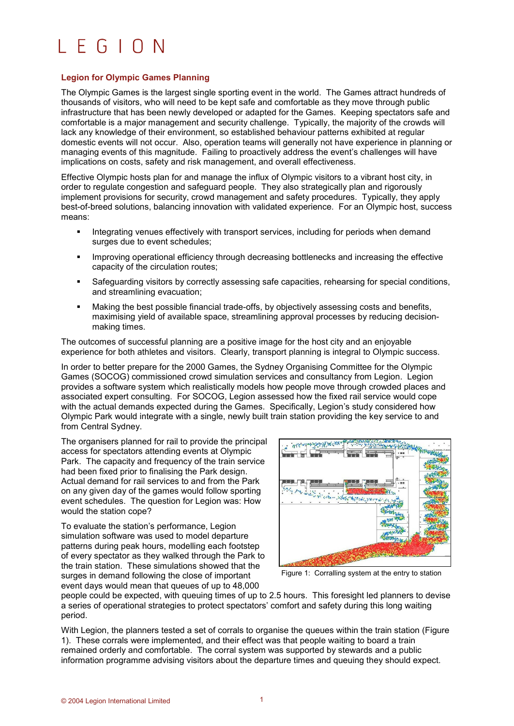## $LEGION$

## **Legion for Olympic Games Planning**

The Olympic Games is the largest single sporting event in the world. The Games attract hundreds of thousands of visitors, who will need to be kept safe and comfortable as they move through public infrastructure that has been newly developed or adapted for the Games. Keeping spectators safe and comfortable is a major management and security challenge. Typically, the majority of the crowds will lack any knowledge of their environment, so established behaviour patterns exhibited at regular domestic events will not occur. Also, operation teams will generally not have experience in planning or managing events of this magnitude. Failing to proactively address the event's challenges will have implications on costs, safety and risk management, and overall effectiveness.

Effective Olympic hosts plan for and manage the influx of Olympic visitors to a vibrant host city, in order to regulate congestion and safeguard people. They also strategically plan and rigorously implement provisions for security, crowd management and safety procedures. Typically, they apply best-of-breed solutions, balancing innovation with validated experience. For an Olympic host, success means:

- Integrating venues effectively with transport services, including for periods when demand surges due to event schedules;
- Improving operational efficiency through decreasing bottlenecks and increasing the effective capacity of the circulation routes;
- Safeguarding visitors by correctly assessing safe capacities, rehearsing for special conditions, and streamlining evacuation;
- Making the best possible financial trade-offs, by objectively assessing costs and benefits, maximising yield of available space, streamlining approval processes by reducing decisionmaking times.

The outcomes of successful planning are a positive image for the host city and an enjoyable experience for both athletes and visitors. Clearly, transport planning is integral to Olympic success.

In order to better prepare for the 2000 Games, the Sydney Organising Committee for the Olympic Games (SOCOG) commissioned crowd simulation services and consultancy from Legion. Legion provides a software system which realistically models how people move through crowded places and associated expert consulting. For SOCOG, Legion assessed how the fixed rail service would cope with the actual demands expected during the Games. Specifically, Legion's study considered how Olympic Park would integrate with a single, newly built train station providing the key service to and from Central Sydney.

The organisers planned for rail to provide the principal access for spectators attending events at Olympic Park. The capacity and frequency of the train service had been fixed prior to finalising the Park design. Actual demand for rail services to and from the Park on any given day of the games would follow sporting event schedules. The question for Legion was: How would the station cope?

To evaluate the station's performance, Legion simulation software was used to model departure patterns during peak hours, modelling each footstep of every spectator as they walked through the Park to the train station. These simulations showed that the surges in demand following the close of important event days would mean that queues of up to 48,000



Figure 1: Corralling system at the entry to station

people could be expected, with queuing times of up to 2.5 hours. This foresight led planners to devise a series of operational strategies to protect spectators' comfort and safety during this long waiting period.

With Legion, the planners tested a set of corrals to organise the queues within the train station (Figure 1). These corrals were implemented, and their effect was that people waiting to board a train remained orderly and comfortable. The corral system was supported by stewards and a public information programme advising visitors about the departure times and queuing they should expect.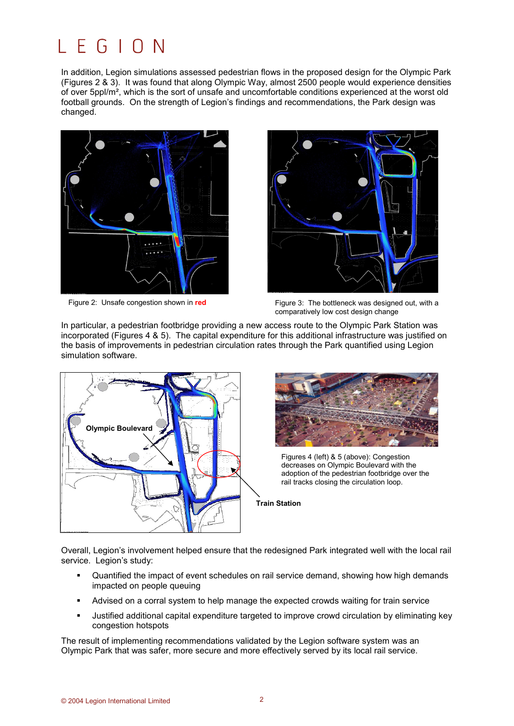## L. F.  $G \perp O N$

In addition, Legion simulations assessed pedestrian flows in the proposed design for the Olympic Park (Figures 2 & 3). It was found that along Olympic Way, almost 2500 people would experience densities of over 5ppl/m², which is the sort of unsafe and uncomfortable conditions experienced at the worst old football grounds. On the strength of Legion's findings and recommendations, the Park design was changed.



Figure 2: Unsafe congestion shown in **red**



Figure 3: The bottleneck was designed out, with a comparatively low cost design change

In particular, a pedestrian footbridge providing a new access route to the Olympic Park Station was incorporated (Figures 4 & 5). The capital expenditure for this additional infrastructure was justified on the basis of improvements in pedestrian circulation rates through the Park quantified using Legion simulation software.





Figures 4 (left) & 5 (above): Congestion decreases on Olympic Boulevard with the adoption of the pedestrian footbridge over the rail tracks closing the circulation loop.

**Train Station**

Overall, Legion's involvement helped ensure that the redesigned Park integrated well with the local rail service. Legion's study:

- Quantified the impact of event schedules on rail service demand, showing how high demands impacted on people queuing
- Advised on a corral system to help manage the expected crowds waiting for train service
- Justified additional capital expenditure targeted to improve crowd circulation by eliminating key congestion hotspots

The result of implementing recommendations validated by the Legion software system was an Olympic Park that was safer, more secure and more effectively served by its local rail service.